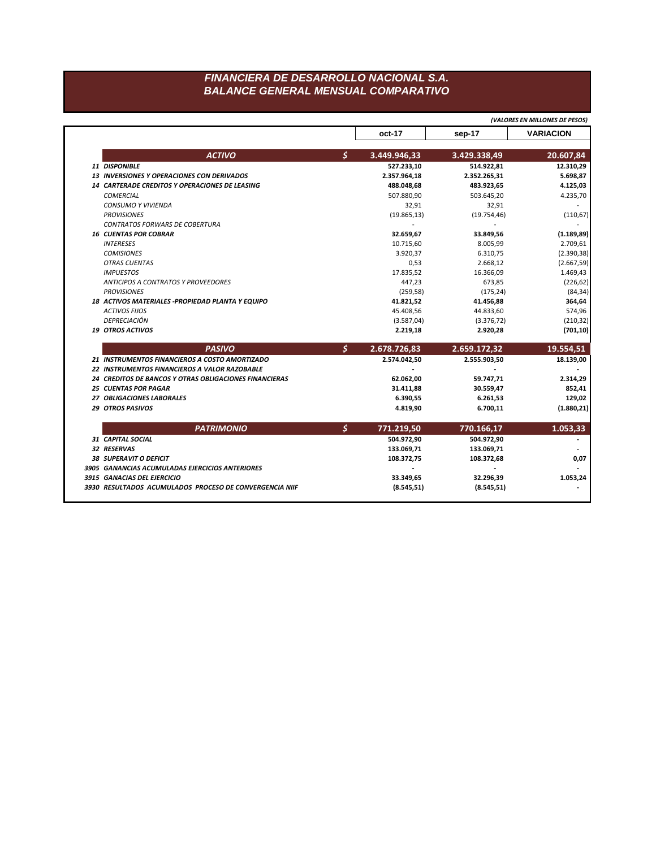## FINANCIERA DE DESARROLLO NACIONAL S.A. **BALANCE GENERAL MENSUAL COMPARATIVO**

|                                                        |                                |                          | (VALORES EN MILLONES DE PESOS)                                                           |
|--------------------------------------------------------|--------------------------------|--------------------------|------------------------------------------------------------------------------------------|
|                                                        | oct-17                         | sep-17                   | <b>VARIACION</b>                                                                         |
| <b>ACTIVO</b>                                          | \$<br>3.449.946,33             | 3.429.338,49             | 20.607,84                                                                                |
| 11 DISPONIBLE                                          | 527.233,10                     | 514.922,81               | 12.310,29                                                                                |
| 13 INVERSIONES Y OPERACIONES CON DERIVADOS             | 2.357.964,18                   | 2.352.265,31             | 5.698,87                                                                                 |
| 14 CARTERADE CREDITOS Y OPERACIONES DE LEASING         | 488.048,68                     | 483.923,65               | 4.125,03                                                                                 |
| <b>COMERCIAL</b>                                       | 507.880,90                     | 503.645,20               | 4.235,70                                                                                 |
| CONSUMO Y VIVIENDA                                     | 32,91                          | 32,91                    |                                                                                          |
| <b>PROVISIONES</b>                                     | (19.865, 13)                   | (19.754, 46)             | (110, 67)                                                                                |
| <b>CONTRATOS FORWARS DE COBERTURA</b>                  |                                |                          |                                                                                          |
| <b>16 CUENTAS POR COBRAR</b>                           | 32.659,67                      | 33.849,56                | (1.189, 89)                                                                              |
| <b>INTERESES</b>                                       | 10.715,60                      | 8.005,99                 | 2.709,61                                                                                 |
| <b>COMISIONES</b>                                      | 3.920,37                       | 6.310,75                 | (2.390, 38)                                                                              |
| <b>OTRAS CUENTAS</b>                                   | 0,53                           | 2.668,12                 | (2.667, 59)                                                                              |
| <b>IMPUESTOS</b>                                       | 17.835,52                      | 16.366,09                | 1.469,43                                                                                 |
| <b>ANTICIPOS A CONTRATOS Y PROVEEDORES</b>             | 447,23                         | 673,85                   | (226, 62)                                                                                |
| <b>PROVISIONES</b>                                     | (259, 58)                      | (175, 24)                | (84, 34)                                                                                 |
| 18 ACTIVOS MATERIALES - PROPIEDAD PLANTA Y EQUIPO      | 41.821,52                      | 41.456,88                | 364,64                                                                                   |
| <b>ACTIVOS FIJOS</b>                                   | 45.408,56                      | 44.833,60                | 574,96                                                                                   |
| <b>DEPRECIACIÓN</b>                                    | (3.587,04)                     | (3.376, 72)              | (210, 32)                                                                                |
| <b>19 OTROS ACTIVOS</b>                                | 2.219,18                       | 2.920,28                 | (701, 10)                                                                                |
| <b>PASIVO</b>                                          | \$<br>2.678.726,83             | 2.659.172,32             | 19.554,51                                                                                |
|                                                        |                                |                          |                                                                                          |
| 21 INSTRUMENTOS FINANCIEROS A COSTO AMORTIZADO         | 2.574.042,50                   | 2.555.903,50             |                                                                                          |
| 22 INSTRUMENTOS FINANCIEROS A VALOR RAZOBABLE          |                                |                          |                                                                                          |
| 24 CREDITOS DE BANCOS Y OTRAS OBLIGACIONES FINANCIERAS | 62.062,00                      | 59.747,71                |                                                                                          |
| <b>25 CUENTAS POR PAGAR</b>                            | 31.411,88                      | 30.559,47                |                                                                                          |
| 27 OBLIGACIONES LABORALES                              | 6.390,55                       | 6.261,53                 |                                                                                          |
| <b>29 OTROS PASIVOS</b>                                | 4.819,90                       | 6.700,11                 |                                                                                          |
| <b>PATRIMONIO</b>                                      |                                |                          |                                                                                          |
| 31 CAPITAL SOCIAL                                      | \$<br>771.219,50<br>504.972,90 | 770.166,17<br>504.972,90 |                                                                                          |
| 32 RESERVAS                                            |                                |                          |                                                                                          |
| <b>38 SUPERAVIT O DEFICIT</b>                          | 133.069,71<br>108.372,75       | 133.069,71<br>108.372,68 |                                                                                          |
| 3905 GANANCIAS ACUMULADAS EJERCICIOS ANTERIORES        |                                |                          |                                                                                          |
| 3915 GANACIAS DEL EJERCICIO                            | 33.349,65                      | 32.296,39                | 18.139,00<br>2.314,29<br>852,41<br>129,02<br>(1.880, 21)<br>1.053,33<br>0,07<br>1.053,24 |